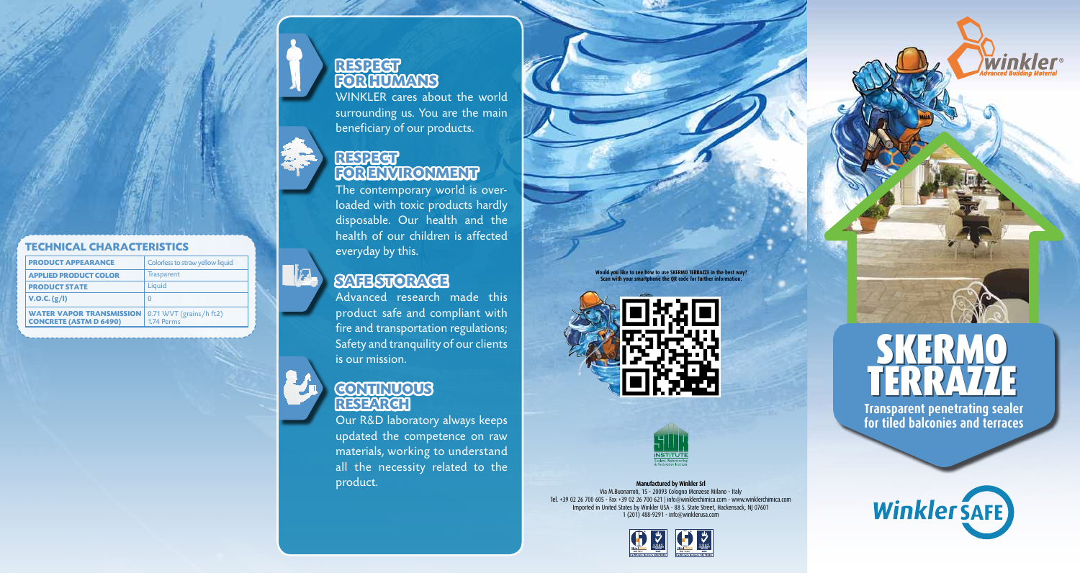### **Respect FORHUMANS**

WINKLER cares about the world surrounding us. You are the main beneficiary of our products.

### **Respect Fo r Envi ronment**

The contemporary world is overloaded with toxic products hardly disposable. Our health and the health of our children is affected everyday by this.

## **Safe Storage**

Advanced research made this product safe and compliant with fire and transportation regulations; Safety and tranquility of our clients is our mission.

## **Continuous Resea r c h**

Our R &D laboratory always keeps updated the competence on raw materials, working to understand all the necessity related to the product.

**Would you like to see how to use Skermo terrazze in the best way? Scan with your smartphone the Q R code for further information.** 





**Manufactured by Winkler Srl** Via M.Buonarroti, 15 - 20093 Cologno Monzese Milano - Italy Tel. +39 02 26 700 605 - Fax +39 02 26 700 621 | info@winklerchimica.com - www.winklerchimica.com Imported in United States by Winkler USA - 88 S. State Street, Hackensack, NJ 07601 1 (201) 488-9291 - info@winklerusa.com



winkler



**Transparent penetrating sealer for tiled balconies and terraces**





lisa.

### **Tec hnical c h a racte ristics**

| <b>PRODUCT APPEARANCE</b>                                                                  | Colorless to straw yellow liquid |
|--------------------------------------------------------------------------------------------|----------------------------------|
| <b>APPLIED PRODUCT COLOR</b>                                                               | Trasparent                       |
| <b>PRODUCT STATE</b>                                                                       | Liquid                           |
| V.O.C. (g/I)                                                                               | 0                                |
| <b>WATER VAPOR TRANSMISSION</b>   0.71 WVT (grains/h ft2)<br><b>CONCRETE (ASTM D 6490)</b> | 1.74 Perms                       |